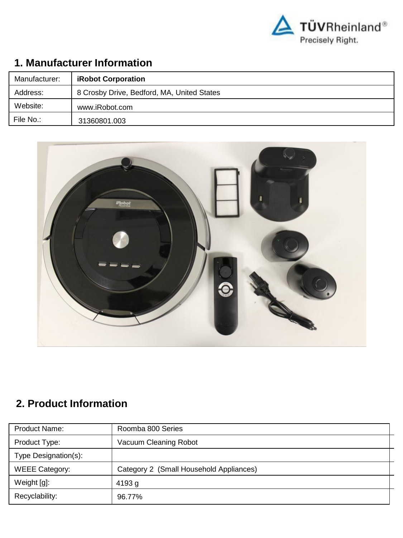

## **1. Manufacturer Information**

| Manufacturer: | <b>iRobot Corporation</b>                  |
|---------------|--------------------------------------------|
| Address:      | 8 Crosby Drive, Bedford, MA, United States |
| Website:      | www.iRobot.com                             |
| File No.:     | 31360801.003                               |



# **2. Product Information**

| Product Name:         | Roomba 800 Series                       |
|-----------------------|-----------------------------------------|
| Product Type:         | Vacuum Cleaning Robot                   |
| Type Designation(s):  |                                         |
| <b>WEEE Category:</b> | Category 2 (Small Household Appliances) |
| Weight [g]:           | 4193 g                                  |
| Recyclability:        | 96.77%                                  |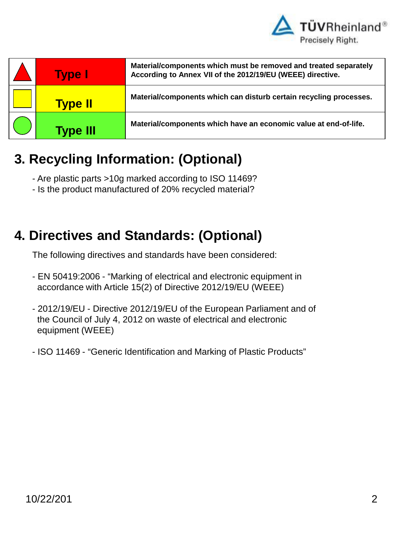

| <b>Type I</b>   | Material/components which must be removed and treated separately<br>According to Annex VII of the 2012/19/EU (WEEE) directive. |
|-----------------|--------------------------------------------------------------------------------------------------------------------------------|
| <b>Type II</b>  | Material/components which can disturb certain recycling processes.                                                             |
| <b>Type III</b> | Material/components which have an economic value at end-of-life.                                                               |

# **3. Recycling Information: (Optional)**

- Are plastic parts >10g marked according to ISO 11469?
- Is the product manufactured of 20% recycled material?

# **4. Directives and Standards: (Optional)**

The following directives and standards have been considered:

- EN 50419:2006 "Marking of electrical and electronic equipment in accordance with Article 15(2) of Directive 2012/19/EU (WEEE)
- 2012/19/EU Directive 2012/19/EU of the European Parliament and of the Council of July 4, 2012 on waste of electrical and electronic equipment (WEEE)
- ISO 11469 "Generic Identification and Marking of Plastic Products"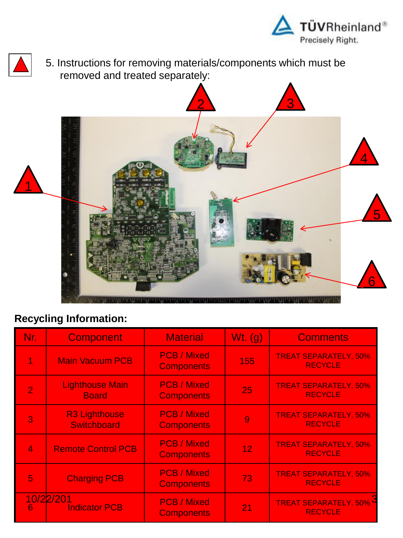

5. Instructions for removing materials/components which must be removed and treated separately:



| Nr.            | <b>Component</b>                           | <b>Material</b>                         | $Wt.$ (g) | <b>Comments</b>                                |
|----------------|--------------------------------------------|-----------------------------------------|-----------|------------------------------------------------|
| 1              | <b>Main Vacuum PCB</b>                     | <b>PCB / Mixed</b><br><b>Components</b> | 155       | <b>TREAT SEPARATELY, 50%</b><br><b>RECYCLE</b> |
| $\overline{2}$ | <b>Lighthouse Main</b><br><b>Board</b>     | <b>PCB / Mixed</b><br><b>Components</b> | 25        | <b>TREAT SEPARATELY, 50%</b><br><b>RECYCLE</b> |
| 3              | <b>R3 Lighthouse</b><br><b>Switchboard</b> | <b>PCB / Mixed</b><br><b>Components</b> | 9         | <b>TREAT SEPARATELY, 50%</b><br><b>RECYCLE</b> |
| $\overline{4}$ | <b>Remote Control PCB</b>                  | <b>PCB / Mixed</b><br><b>Components</b> | 12        | <b>TREAT SEPARATELY, 50%</b><br><b>RECYCLE</b> |
| 5              | <b>Charging PCB</b>                        | <b>PCB / Mixed</b><br><b>Components</b> | 73        | <b>TREAT SEPARATELY, 50%</b><br><b>RECYCLE</b> |
| 6.             | 10/22/201<br><b>Indicator PCB</b>          | <b>PCB / Mixed</b><br><b>Components</b> | 21        | <b>TREAT SEPARATELY, 50%</b><br><b>RECYCLE</b> |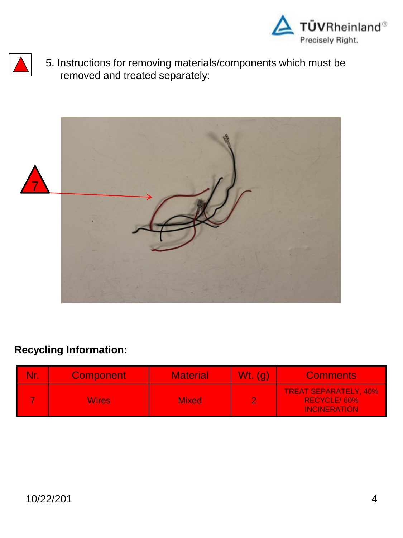



5. Instructions for removing materials/components which must be removed and treated separately:



| <b>Component</b> | <b>Material</b> | $Wt.$ (g) | <b>Comments</b>                                                    |
|------------------|-----------------|-----------|--------------------------------------------------------------------|
| Wires            | <b>Mixed</b>    |           | <b>TREAT SEPARATELY, 40%</b><br>RECYCLE/60%<br><b>INCINERATION</b> |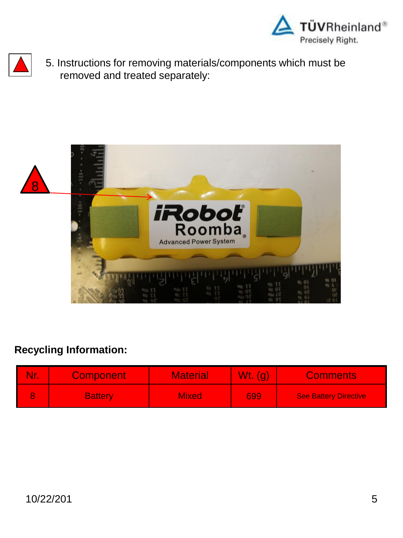



5. Instructions for removing materials/components which must be removed and treated separately:



| <b>Nr.</b> | <b>Component</b> | <b>Material</b> | $Wt.$ (g) | <b>Comments</b>              |
|------------|------------------|-----------------|-----------|------------------------------|
|            | <b>Battery</b>   | <b>Mixed</b>    | 699       | <b>See Battery Directive</b> |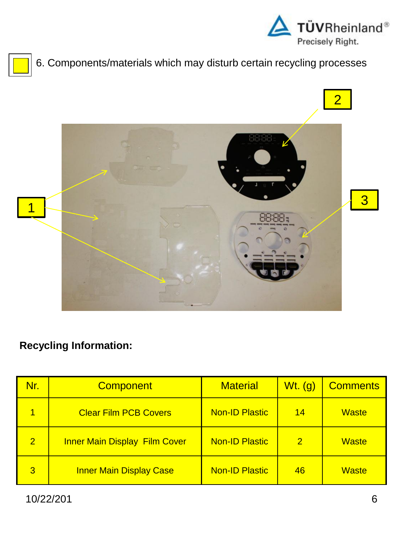





| Nr.            | <b>Component</b>                     | <b>Material</b>       | $Wt.$ (g)    | <b>Comments</b> |
|----------------|--------------------------------------|-----------------------|--------------|-----------------|
| 1              | <b>Clear Film PCB Covers</b>         | <b>Non-ID Plastic</b> | 14           | <b>Waste</b>    |
| $\overline{2}$ | <b>Inner Main Display Film Cover</b> | <b>Non-ID Plastic</b> | $\mathbf{2}$ | <b>Waste</b>    |
| $\overline{3}$ | <b>Inner Main Display Case</b>       | <b>Non-ID Plastic</b> | 46           | <b>Waste</b>    |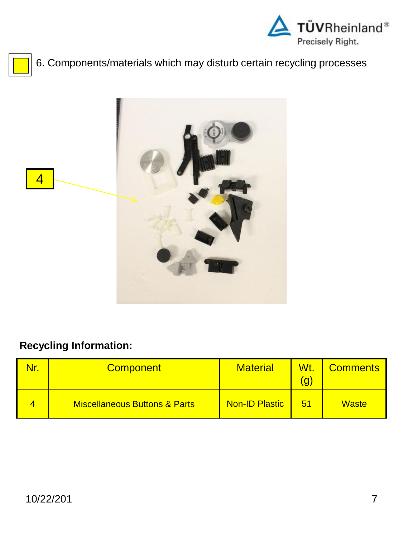

# 6. Components/materials which may disturb certain recycling processes



| N٢ | <b>Component</b>                         | <b>Material</b>       | Wt.<br>g | <b>Comments</b> |
|----|------------------------------------------|-----------------------|----------|-----------------|
|    | <b>Miscellaneous Buttons &amp; Parts</b> | <b>Non-ID Plastic</b> | 51       | <b>Waste</b>    |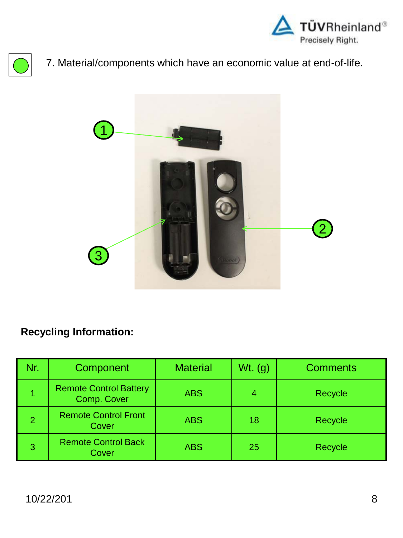





| Nr.            | Component                                    | <b>Material</b> | $Wt.$ (g) | <b>Comments</b> |
|----------------|----------------------------------------------|-----------------|-----------|-----------------|
|                | <b>Remote Control Battery</b><br>Comp. Cover | <b>ABS</b>      | 4         | Recycle         |
| $\overline{2}$ | <b>Remote Control Front</b><br>Cover         | <b>ABS</b>      | 18        | <b>Recycle</b>  |
| 3              | <b>Remote Control Back</b><br>Cover          | <b>ABS</b>      | 25        | Recycle         |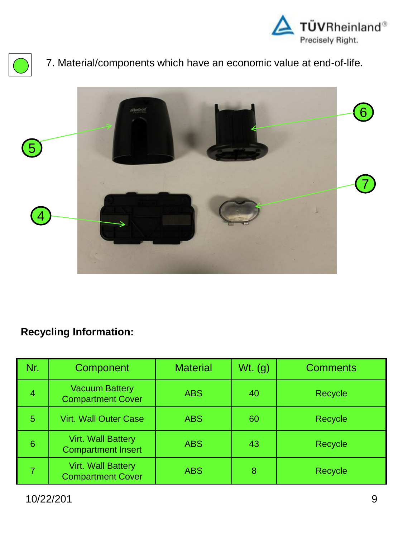





| Nr. | Component                                              | <b>Material</b> | $Wt.$ (g) | <b>Comments</b> |
|-----|--------------------------------------------------------|-----------------|-----------|-----------------|
| 4   | <b>Vacuum Battery</b><br><b>Compartment Cover</b>      | <b>ABS</b>      | 40        | Recycle         |
| 5   | <b>Virt. Wall Outer Case</b>                           | <b>ABS</b>      | 60        | Recycle         |
| 6   | <b>Virt. Wall Battery</b><br><b>Compartment Insert</b> | <b>ABS</b>      | 43        | Recycle         |
|     | <b>Virt. Wall Battery</b><br><b>Compartment Cover</b>  | <b>ABS</b>      | 8         | Recycle         |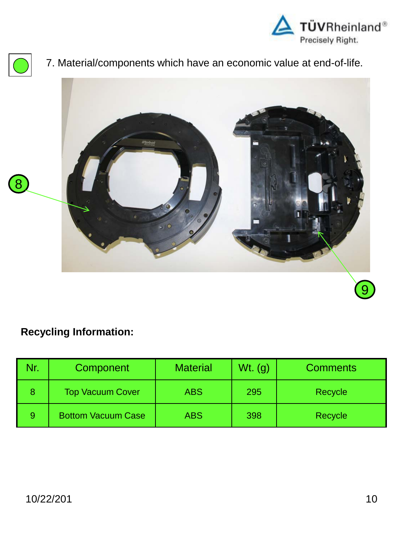





#### **Recycling Information:**

| Nr. | Component                 | <b>Material</b> | $Wt.$ (g) | <b>Comments</b> |
|-----|---------------------------|-----------------|-----------|-----------------|
|     | <b>Top Vacuum Cover</b>   | <b>ABS</b>      | 295       | Recycle         |
| 9   | <b>Bottom Vacuum Case</b> | <b>ABS</b>      | 398       | Recycle         |

9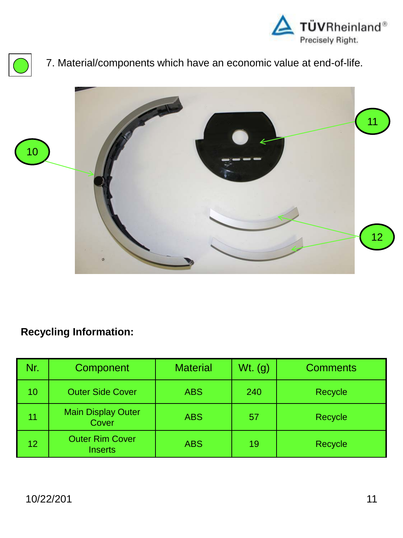





| Nr. | Component                                | <b>Material</b> | $Wt.$ (g) | <b>Comments</b> |
|-----|------------------------------------------|-----------------|-----------|-----------------|
| 10  | <b>Outer Side Cover</b>                  | <b>ABS</b>      | 240       | Recycle         |
| 11  | <b>Main Display Outer</b><br>Cover       | <b>ABS</b>      | 57        | Recycle         |
| 12  | <b>Outer Rim Cover</b><br><b>Inserts</b> | <b>ABS</b>      | 19        | <b>Recycle</b>  |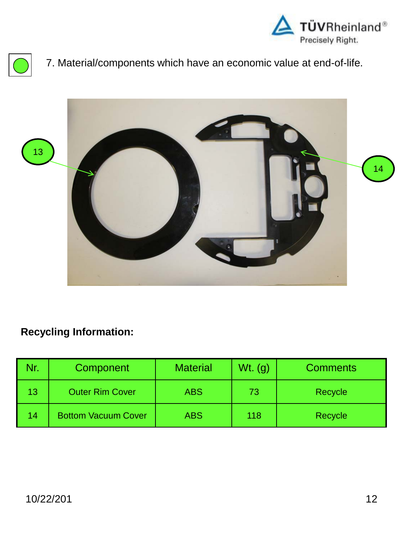





| Nr. | Component                  | <b>Material</b> | $Wt.$ (g) | <b>Comments</b> |
|-----|----------------------------|-----------------|-----------|-----------------|
| 13  | <b>Outer Rim Cover</b>     | <b>ABS</b>      | 73        | Recycle         |
| 14  | <b>Bottom Vacuum Cover</b> | <b>ABS</b>      | 118       | Recycle         |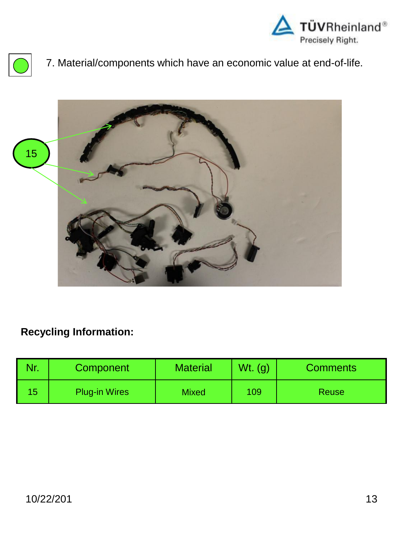





|     | Component            | <b>Material</b> | $Wt.$ (g) | <b>Comments</b> |
|-----|----------------------|-----------------|-----------|-----------------|
| ၊ ၁ | <b>Plug-in Wires</b> | <b>Mixed</b>    | 109       | <b>Reuse</b>    |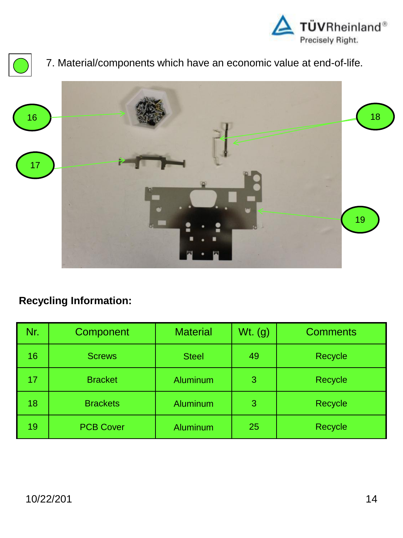





| Nr. | Component        | <b>Material</b> | $Wt.$ (g) | <b>Comments</b> |
|-----|------------------|-----------------|-----------|-----------------|
| 16  | <b>Screws</b>    | <b>Steel</b>    | 49        | Recycle         |
| 17  | <b>Bracket</b>   | <b>Aluminum</b> | 3         | Recycle         |
| 18  | <b>Brackets</b>  | <b>Aluminum</b> | 3         | Recycle         |
| 19  | <b>PCB Cover</b> | <b>Aluminum</b> | 25        | Recycle         |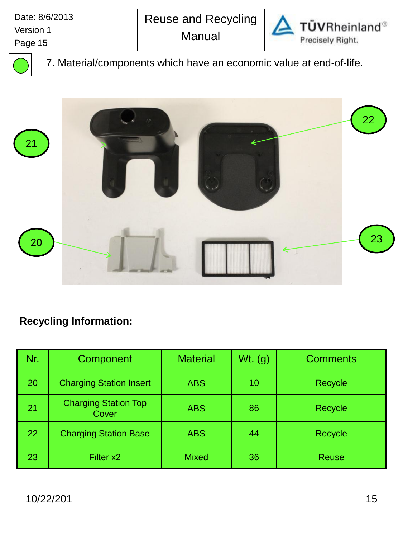

TÜVRheinland® Precisely Right.

7. Material/components which have an economic value at end-of-life.



| Nr. | Component                            | <b>Material</b> | $Wt.$ (g) | <b>Comments</b> |
|-----|--------------------------------------|-----------------|-----------|-----------------|
| 20  | <b>Charging Station Insert</b>       | <b>ABS</b>      | 10        | Recycle         |
| 21  | <b>Charging Station Top</b><br>Cover | <b>ABS</b>      | 86        | Recycle         |
| 22  | <b>Charging Station Base</b>         | <b>ABS</b>      | 44        | Recycle         |
| 23  | Filter x2                            | <b>Mixed</b>    | 36        | <b>Reuse</b>    |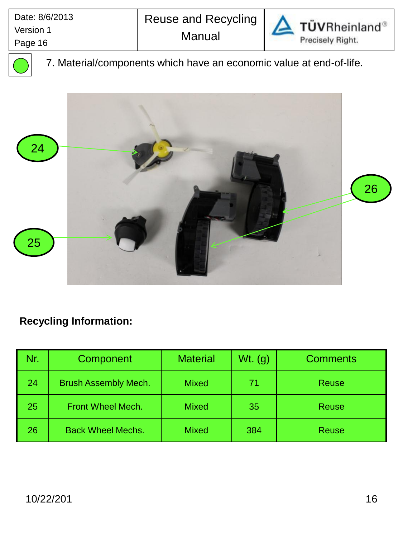

TÜVRheinland® Precisely Right.

7. Material/components which have an economic value at end-of-life.



| Nr. | Component                   | <b>Material</b> | $Wt.$ (g) | <b>Comments</b> |
|-----|-----------------------------|-----------------|-----------|-----------------|
| 24  | <b>Brush Assembly Mech.</b> | <b>Mixed</b>    | 71        | <b>Reuse</b>    |
| 25  | <b>Front Wheel Mech.</b>    | <b>Mixed</b>    | 35        | <b>Reuse</b>    |
| 26  | <b>Back Wheel Mechs.</b>    | <b>Mixed</b>    | 384       | <b>Reuse</b>    |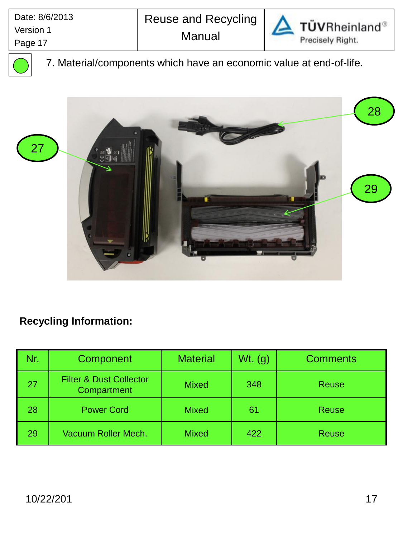

TÜVRheinland® Precisely Right.

7. Material/components which have an economic value at end-of-life.



| Nr | Component                                         | <b>Material</b> | $Wt.$ (g) | <b>Comments</b> |
|----|---------------------------------------------------|-----------------|-----------|-----------------|
| 27 | <b>Filter &amp; Dust Collector</b><br>Compartment | <b>Mixed</b>    | 348       | <b>Reuse</b>    |
| 28 | <b>Power Cord</b>                                 | <b>Mixed</b>    | 61        | <b>Reuse</b>    |
| 29 | Vacuum Roller Mech.                               | <b>Mixed</b>    | 422       | <b>Reuse</b>    |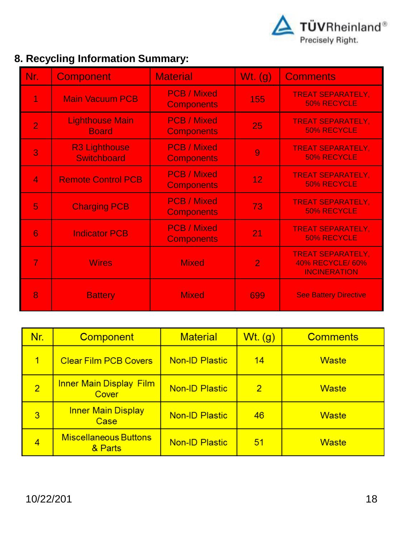

# **8. Recycling Information Summary:**

| Nr.            | <b>Component</b>                           | <b>Material</b>                         | Wt. $(g)$       | <b>Comments</b>                                                            |
|----------------|--------------------------------------------|-----------------------------------------|-----------------|----------------------------------------------------------------------------|
|                | <b>Main Vacuum PCB</b>                     | <b>PCB</b> / Mixed<br><b>Components</b> | 155             | <b>TREAT SEPARATELY,</b><br>50% RECYCLE                                    |
| $\overline{2}$ | <b>Lighthouse Main</b><br><b>Board</b>     | <b>PCB / Mixed</b><br><b>Components</b> | 25              | <b>TREAT SEPARATELY,</b><br><b>50% RECYCLE</b>                             |
| 3              | <b>R3 Lighthouse</b><br><b>Switchboard</b> | <b>PCB / Mixed</b><br><b>Components</b> | 9               | <b>TREAT SEPARATELY,</b><br><b>50% RECYCLE</b>                             |
| $\overline{4}$ | <b>Remote Control PCB</b>                  | <b>PCB / Mixed</b><br><b>Components</b> | 12 <sub>2</sub> | <b>TREAT SEPARATELY,</b><br>50% RECYCLE                                    |
| 5              | <b>Charging PCB</b>                        | <b>PCB / Mixed</b><br><b>Components</b> | 73              | <b>TREAT SEPARATELY,</b><br>50% RECYCLE                                    |
| 6              | <b>Indicator PCB</b>                       | <b>PCB / Mixed</b><br><b>Components</b> | 21              | <b>TREAT SEPARATELY,</b><br><b>50% RECYCLE</b>                             |
| $\overline{7}$ | <b>Wires</b>                               | <b>Mixed</b>                            | $\overline{2}$  | <b>TREAT SEPARATELY,</b><br><b>40% RECYCLE/ 60%</b><br><b>INCINERATION</b> |
| 8              | <b>Battery</b>                             | <b>Mixed</b>                            | 699             | <b>See Battery Directive</b>                                               |

| Nr.            | <b>Component</b>                        | <b>Material</b>       | Wt. (g)        | <b>Comments</b> |
|----------------|-----------------------------------------|-----------------------|----------------|-----------------|
| $\overline{1}$ | <b>Clear Film PCB Covers</b>            | <b>Non-ID Plastic</b> | 14             | <b>Waste</b>    |
| $\overline{2}$ | <b>Inner Main Display Film</b><br>Cover | <b>Non-ID Plastic</b> | $\overline{2}$ | <b>Waste</b>    |
| 3              | <b>Inner Main Display</b><br>Case       | <b>Non-ID Plastic</b> | 46             | <b>Waste</b>    |
| $\overline{4}$ | <b>Miscellaneous Buttons</b><br>& Parts | <b>Non-ID Plastic</b> | 51             | <b>Waste</b>    |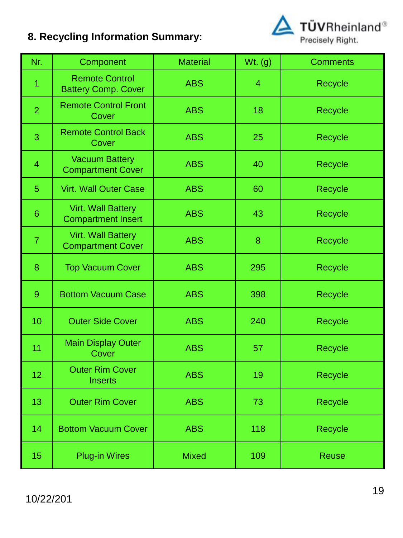# **8. Recycling Information Summary:**



| Nr.             | Component                                              | <b>Material</b> | Wt. (g)        | <b>Comments</b> |
|-----------------|--------------------------------------------------------|-----------------|----------------|-----------------|
| 1               | <b>Remote Control</b><br><b>Battery Comp. Cover</b>    | <b>ABS</b>      | $\overline{4}$ | Recycle         |
| $\overline{2}$  | <b>Remote Control Front</b><br>Cover                   | <b>ABS</b>      | 18             | Recycle         |
| 3               | <b>Remote Control Back</b><br>Cover                    | <b>ABS</b>      | 25             | Recycle         |
| $\overline{4}$  | <b>Vacuum Battery</b><br><b>Compartment Cover</b>      | <b>ABS</b>      | 40             | Recycle         |
| 5               | <b>Virt. Wall Outer Case</b>                           | <b>ABS</b>      | 60             | Recycle         |
| $6\phantom{1}6$ | <b>Virt. Wall Battery</b><br><b>Compartment Insert</b> | <b>ABS</b>      | 43             | Recycle         |
| $\overline{7}$  | <b>Virt. Wall Battery</b><br><b>Compartment Cover</b>  | <b>ABS</b>      | 8              | Recycle         |
| 8               | <b>Top Vacuum Cover</b>                                | <b>ABS</b>      | 295            | Recycle         |
| $\overline{9}$  | <b>Bottom Vacuum Case</b>                              | <b>ABS</b>      | 398            | Recycle         |
| 10              | <b>Outer Side Cover</b>                                | <b>ABS</b>      | 240            | Recycle         |
| 11              | <b>Main Display Outer</b><br>Cover                     | <b>ABS</b>      | 57             | Recycle         |
| 12              | <b>Outer Rim Cover</b><br><b>Inserts</b>               | <b>ABS</b>      | 19             | Recycle         |
| 13              | <b>Outer Rim Cover</b>                                 | <b>ABS</b>      | 73             | Recycle         |
| 14              | <b>Bottom Vacuum Cover</b>                             | <b>ABS</b>      | 118            | Recycle         |
| 15              | <b>Plug-in Wires</b>                                   | <b>Mixed</b>    | 109            | <b>Reuse</b>    |